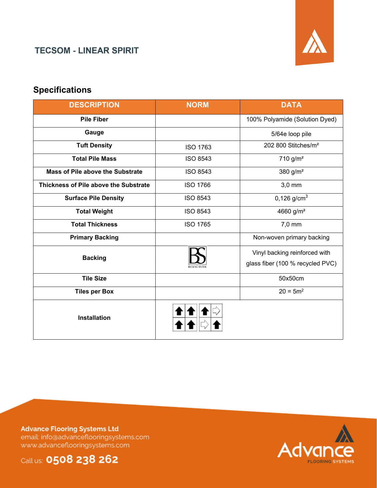#### **TECSOM - LINEAR SPIRIT**



## **Specifications**

| <b>DESCRIPTION</b>                    | <b>NORM</b>     | <b>DATA</b>                      |  |  |
|---------------------------------------|-----------------|----------------------------------|--|--|
| <b>Pile Fiber</b>                     |                 | 100% Polyamide (Solution Dyed)   |  |  |
| Gauge                                 |                 | 5/64e loop pile                  |  |  |
| <b>Tuft Density</b>                   | <b>ISO 1763</b> | 202 800 Stitches/m <sup>2</sup>  |  |  |
| <b>Total Pile Mass</b>                | <b>ISO 8543</b> | $710$ g/m <sup>2</sup>           |  |  |
| Mass of Pile above the Substrate      | <b>ISO 8543</b> | 380 g/m <sup>2</sup>             |  |  |
| Thickness of Pile above the Substrate | <b>ISO 1766</b> | $3,0$ mm                         |  |  |
| <b>Surface Pile Density</b>           | <b>ISO 8543</b> | 0,126 $g/cm3$                    |  |  |
| <b>Total Weight</b>                   | <b>ISO 8543</b> | 4660 g/m <sup>2</sup>            |  |  |
| <b>Total Thickness</b>                | <b>ISO 1765</b> | 7,0 mm                           |  |  |
| <b>Primary Backing</b>                |                 | Non-woven primary backing        |  |  |
| <b>Backing</b>                        |                 | Vinyl backing reinforced with    |  |  |
|                                       |                 | glass fiber (100 % recycled PVC) |  |  |
| <b>Tile Size</b>                      |                 | 50x50cm                          |  |  |
| <b>Tiles per Box</b>                  |                 | $20 = 5m^2$                      |  |  |
| <b>Installation</b>                   |                 |                                  |  |  |

**Advance Flooring Systems Ltd** email: info@advanceflooringsystems.com www.advanceflooringsystems.com